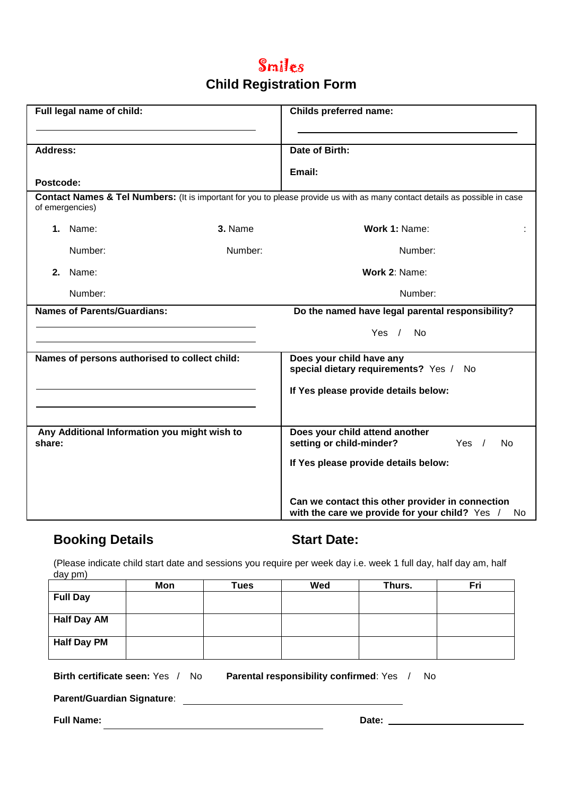# Smiles

### **Child Registration Form**

| Full legal name of child:                              |         | <b>Childs preferred name:</b>                                                                                               |  |  |
|--------------------------------------------------------|---------|-----------------------------------------------------------------------------------------------------------------------------|--|--|
| <b>Address:</b>                                        |         | Date of Birth:                                                                                                              |  |  |
| Postcode:                                              |         | Email:                                                                                                                      |  |  |
| of emergencies)                                        |         | Contact Names & Tel Numbers: (It is important for you to please provide us with as many contact details as possible in case |  |  |
| 1. Name:                                               | 3. Name | Work 1: Name:                                                                                                               |  |  |
| Number:                                                | Number: | Number:                                                                                                                     |  |  |
| 2. Name:                                               |         | Work 2: Name:                                                                                                               |  |  |
| Number:                                                |         | Number:                                                                                                                     |  |  |
| <b>Names of Parents/Guardians:</b>                     |         | Do the named have legal parental responsibility?                                                                            |  |  |
|                                                        |         | Yes $/$<br>No                                                                                                               |  |  |
| Names of persons authorised to collect child:          |         | Does your child have any<br>special dietary requirements? Yes /<br>No.                                                      |  |  |
|                                                        |         | If Yes please provide details below:                                                                                        |  |  |
|                                                        |         |                                                                                                                             |  |  |
| Any Additional Information you might wish to<br>share: |         | Does your child attend another<br>setting or child-minder?<br>Yes $/$<br>No                                                 |  |  |
|                                                        |         | If Yes please provide details below:                                                                                        |  |  |
|                                                        |         | Can we contact this other provider in connection<br>with the care we provide for your child? Yes /<br>No                    |  |  |

### **Booking Details Start Date:**

(Please indicate child start date and sessions you require per week day i.e. week 1 full day, half day am, half day pm)

|                    | Mon | <b>Tues</b> | Wed | Thurs. | Fri |
|--------------------|-----|-------------|-----|--------|-----|
| <b>Full Day</b>    |     |             |     |        |     |
|                    |     |             |     |        |     |
| <b>Half Day AM</b> |     |             |     |        |     |
|                    |     |             |     |        |     |
| <b>Half Day PM</b> |     |             |     |        |     |
|                    |     |             |     |        |     |

**Birth certificate seen:** Yes / No **Parental responsibility confirmed**: Yes / No

**Parent/Guardian Signature**:

**Full Name: Date: Date: Date: Date: Date: Date: Date: Date: Date: Date: Date: Date: Date: Date: Date: Date: Date: Date: Date: Date: Date: Date: Date: Date: Date: Date:**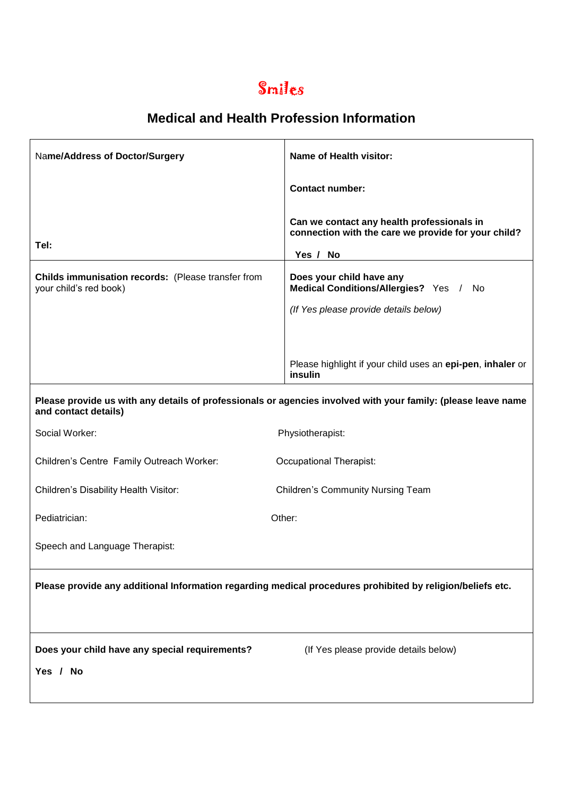# Smiles

| Name/Address of Doctor/Surgery                                                                             | Name of Health visitor:                                                                                         |  |  |  |
|------------------------------------------------------------------------------------------------------------|-----------------------------------------------------------------------------------------------------------------|--|--|--|
|                                                                                                            | <b>Contact number:</b>                                                                                          |  |  |  |
| Tel:                                                                                                       | Can we contact any health professionals in<br>connection with the care we provide for your child?<br>Yes / No   |  |  |  |
| Childs immunisation records: (Please transfer from<br>your child's red book)                               | Does your child have any<br>Medical Conditions/Allergies? Yes /<br>No.<br>(If Yes please provide details below) |  |  |  |
|                                                                                                            | Please highlight if your child uses an epi-pen, inhaler or<br>insulin                                           |  |  |  |
| and contact details)                                                                                       | Please provide us with any details of professionals or agencies involved with your family: (please leave name   |  |  |  |
| Social Worker:                                                                                             | Physiotherapist:                                                                                                |  |  |  |
| Children's Centre Family Outreach Worker:                                                                  | Occupational Therapist:                                                                                         |  |  |  |
| Children's Disability Health Visitor:                                                                      | <b>Children's Community Nursing Team</b>                                                                        |  |  |  |
| Pediatrician:                                                                                              | Other:                                                                                                          |  |  |  |
| Speech and Language Therapist:                                                                             |                                                                                                                 |  |  |  |
| Please provide any additional Information regarding medical procedures prohibited by religion/beliefs etc. |                                                                                                                 |  |  |  |
| Does your child have any special requirements?<br>Yes / No                                                 | (If Yes please provide details below)                                                                           |  |  |  |
|                                                                                                            |                                                                                                                 |  |  |  |

### **Medical and Health Profession Information**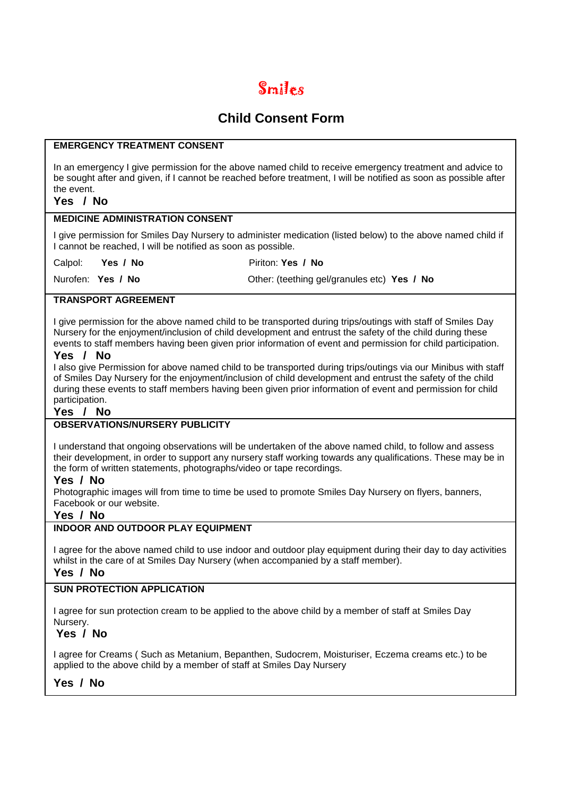# Smiles

### **Child Consent Form**

#### **EMERGENCY TREATMENT CONSENT**

In an emergency I give permission for the above named child to receive emergency treatment and advice to be sought after and given, if I cannot be reached before treatment, I will be notified as soon as possible after the event.

### **Yes / No**

#### **MEDICINE ADMINISTRATION CONSENT**

I give permission for Smiles Day Nursery to administer medication (listed below) to the above named child if I cannot be reached, I will be notified as soon as possible.

Calpol: **Yes / No** Piriton: **Yes / No** 

Nurofen: **Yes / No** Other: (teething gel/granules etc) **Yes / No** 

#### **TRANSPORT AGREEMENT**

I give permission for the above named child to be transported during trips/outings with staff of Smiles Day Nursery for the enjoyment/inclusion of child development and entrust the safety of the child during these events to staff members having been given prior information of event and permission for child participation.

#### **Yes / No**

I also give Permission for above named child to be transported during trips/outings via our Minibus with staff of Smiles Day Nursery for the enjoyment/inclusion of child development and entrust the safety of the child during these events to staff members having been given prior information of event and permission for child participation.

#### **Yes / No**

#### **OBSERVATIONS/NURSERY PUBLICITY**

I understand that ongoing observations will be undertaken of the above named child, to follow and assess their development, in order to support any nursery staff working towards any qualifications. These may be in the form of written statements, photographs/video or tape recordings.

#### **Yes / No**

Photographic images will from time to time be used to promote Smiles Day Nursery on flyers, banners, Facebook or our website.

#### **Yes / No**

#### **INDOOR AND OUTDOOR PLAY EQUIPMENT**

I agree for the above named child to use indoor and outdoor play equipment during their day to day activities whilst in the care of at Smiles Day Nursery (when accompanied by a staff member).

#### **Yes / No**

### **SUN PROTECTION APPLICATION**

I agree for sun protection cream to be applied to the above child by a member of staff at Smiles Day Nursery.

#### **Yes / No**

I agree for Creams ( Such as Metanium, Bepanthen, Sudocrem, Moisturiser, Eczema creams etc.) to be applied to the above child by a member of staff at Smiles Day Nursery

#### **Yes / No**